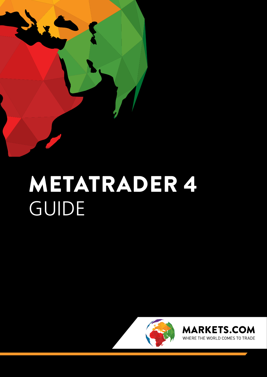

# METATRADER 4 GUIDE



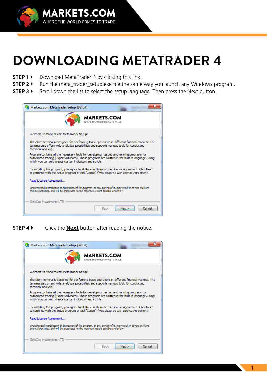

### **DOWNLOADING METATRADER 4**

- **STEP1**  $\triangleright$  Download MetaTrader 4 by clicking this link.
- **STEP 2** I Run the meta\_trader\_setup.exe file the same way you launch any Windows program.
- STEP 3 > Scroll down the list to select the setup language. Then press the Next button.

| Markets.com MetaTrader Setup (32 bit)                                                                                                                                                                                                                    |
|----------------------------------------------------------------------------------------------------------------------------------------------------------------------------------------------------------------------------------------------------------|
| <b>MARKETS.COM</b><br>WHERE THE WORLD COMES TO TRADE                                                                                                                                                                                                     |
| Welcome to Markets.com MetaTrader Setup!                                                                                                                                                                                                                 |
| The client terminal is designed for performing trade operations in different financial markets. The<br>terminal also offers wide analytical possibilities and supports various tools for conducting<br>technical analysis.                               |
| Program contains all the necessary tools for developing, testing and running programs for<br>automated trading (Expert Advisors). These programs are written in the built-in language, using<br>which you can also create custom indicators and scripts. |
| By installing this program, you agree to all the conditions of the License Agreement, Click 'Next'<br>to continue with the Setup program or click 'Cancel' if you disagree with License Agreement.                                                       |
| Read License Agreement                                                                                                                                                                                                                                   |
| Unauthorized reproduction or distribution of this program, or any portion of it, may result in severe civil and<br>criminal penalties, and will be prosecuted to the maximum extent possible under law.                                                  |
| SafeCap Investments LTD                                                                                                                                                                                                                                  |
| Cancel<br>Next<br>< Back                                                                                                                                                                                                                                 |

**STEP 4 >** Click the **Next** button after reading the notice.

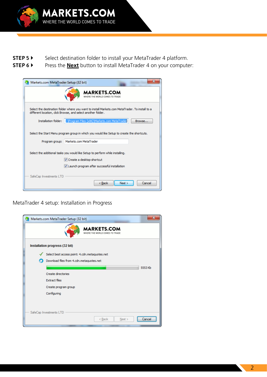

- STEP 5  $\triangleright$  Select destination folder to install your MetaTrader 4 platform.
- **STEP 6 >** Press the **Next** button to install MetaTrader 4 on your computer:

| Markets.com MetaTrader Setup (32 bit) |                                                                                                                                                                 |
|---------------------------------------|-----------------------------------------------------------------------------------------------------------------------------------------------------------------|
|                                       | <b>MARKETS.COM</b><br>WHERE THE WORLD COMES TO TRADE                                                                                                            |
|                                       | Select the destination folder where you want to install Markets.com MetaTrader. To install to a<br>different location, click Browse, and select another folder. |
|                                       | Installation folder: :: \Program Files (x86)\Markets.com MetaTrader<br>Browse                                                                                   |
|                                       | Select the Start Menu program group in which you would like Setup to create the shortcuts.                                                                      |
|                                       | Program group:   Markets.com MetaTrader                                                                                                                         |
|                                       | Select the additional tasks you would like Setup to perform while installing.<br>Ⅳ Create a desktop shortcut<br>V Launch program after successful installation  |
| SafeCap Investments LTD               | Next<br>Cancel<br>< Back                                                                                                                                        |

MetaTrader 4 setup: Installation in Progress

|                                                      | Markets.com MetaTrader Setup (32 bit)                |  |  |  |  |  |  |
|------------------------------------------------------|------------------------------------------------------|--|--|--|--|--|--|
| <b>MARKETS.COM</b><br>WHERE THE WORLD COMES TO TRADE |                                                      |  |  |  |  |  |  |
| Installation progress (32 bit)                       |                                                      |  |  |  |  |  |  |
| Select best access point: 4.cdn.metaquotes.net       |                                                      |  |  |  |  |  |  |
|                                                      | Download files from 4.cdn.metaquotes.net             |  |  |  |  |  |  |
|                                                      | 5553 <sub>Kb</sub>                                   |  |  |  |  |  |  |
|                                                      | Create directories                                   |  |  |  |  |  |  |
|                                                      | <b>Extract files</b>                                 |  |  |  |  |  |  |
|                                                      | Create program group                                 |  |  |  |  |  |  |
|                                                      | Configuring                                          |  |  |  |  |  |  |
|                                                      |                                                      |  |  |  |  |  |  |
|                                                      | SafeCap Investments LTD<br>< Back<br>Next ><br>ancel |  |  |  |  |  |  |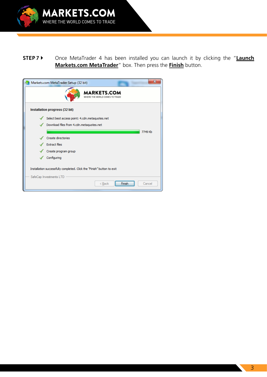

### **STEP 7 >** Once MetaTrader 4 has been installed you can launch it by clicking the "Launch Markets.com MetaTrader" box. Then press the **Finish** button.

| х<br>Markets.com MetaTrader Setup (32 bit)                             |  |
|------------------------------------------------------------------------|--|
| <b>MARKETS.COM</b><br>WHERE THE WORLD COMES TO TRADE                   |  |
| Installation progress (32 bit)                                         |  |
| Select best access point: 4.cdn.metaquotes.net                         |  |
| Download files from 4.cdn.metaquotes.net                               |  |
| 7749 Kb                                                                |  |
| Create directories                                                     |  |
| <b>Extract files</b>                                                   |  |
| Create program group                                                   |  |
| Configuring                                                            |  |
| Installation successfully completed. Click the "Finish" button to exit |  |
| SafeCap Investments LTD                                                |  |
| < Back<br>Cancel<br>Finish                                             |  |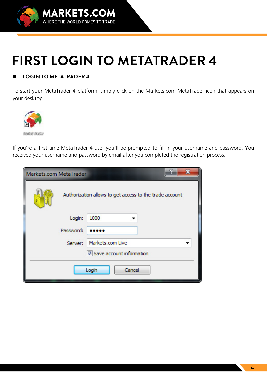

## **FIRST LOGIN TO METATRADER 4**

#### **4 I OGIN TO METATRADER 4**

To start your MetaTrader 4 platform, simply click on the Markets com MetaTrader icon that appears on your desktop.



If you're a first-time MetaTrader 4 user you'll be prompted to fill in your username and password. You received your username and password by email after you completed the registration process.

| 5.<br>x<br>Markets.com MetaTrader                       |                  |  |  |  |  |  |  |
|---------------------------------------------------------|------------------|--|--|--|--|--|--|
| Authorization allows to get access to the trade account |                  |  |  |  |  |  |  |
| Login:                                                  | 1000             |  |  |  |  |  |  |
| Password:                                               |                  |  |  |  |  |  |  |
| Server:                                                 | Markets.com-Live |  |  |  |  |  |  |
| V Save account information                              |                  |  |  |  |  |  |  |
| Cancel<br>Login                                         |                  |  |  |  |  |  |  |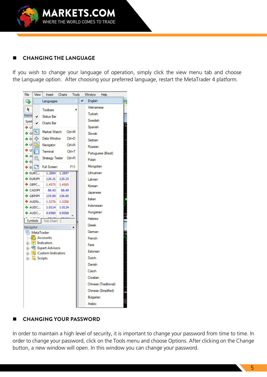

#### **LANGING THE LANGUAGE**

If you wish to change your language of operation, simply click the view menu tab and choose the Language option. After choosing your preferred language, restart the MetaTrader 4 platform.



#### **CHANGING YOUR PASSWORD**

In order to maintain a high level of security, it is important to change your password from time to time. In order to change your password, click on the Tools menu and choose Options. After clicking on the Change button, a new window will open. In this window you can change your password.